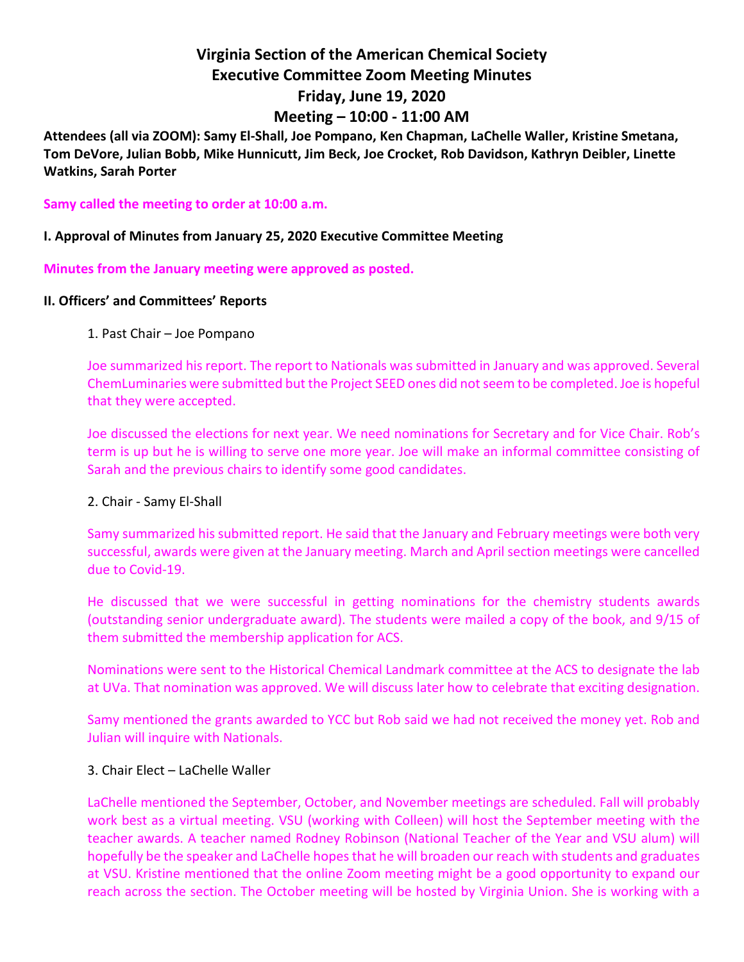# **Virginia Section of the American Chemical Society Executive Committee Zoom Meeting Minutes Friday, June 19, 2020 Meeting – 10:00 - 11:00 AM**

**Attendees (all via ZOOM): Samy El-Shall, Joe Pompano, Ken Chapman, LaChelle Waller, Kristine Smetana, Tom DeVore, Julian Bobb, Mike Hunnicutt, Jim Beck, Joe Crocket, Rob Davidson, Kathryn Deibler, Linette Watkins, Sarah Porter**

**Samy called the meeting to order at 10:00 a.m.**

### **I. Approval of Minutes from January 25, 2020 Executive Committee Meeting**

**Minutes from the January meeting were approved as posted.**

#### **II. Officers' and Committees' Reports**

#### 1. Past Chair – Joe Pompano

Joe summarized his report. The report to Nationals was submitted in January and was approved. Several ChemLuminaries were submitted but the Project SEED ones did not seem to be completed. Joe is hopeful that they were accepted.

Joe discussed the elections for next year. We need nominations for Secretary and for Vice Chair. Rob's term is up but he is willing to serve one more year. Joe will make an informal committee consisting of Sarah and the previous chairs to identify some good candidates.

#### 2. Chair - Samy El-Shall

Samy summarized his submitted report. He said that the January and February meetings were both very successful, awards were given at the January meeting. March and April section meetings were cancelled due to Covid-19.

He discussed that we were successful in getting nominations for the chemistry students awards (outstanding senior undergraduate award). The students were mailed a copy of the book, and 9/15 of them submitted the membership application for ACS.

Nominations were sent to the Historical Chemical Landmark committee at the ACS to designate the lab at UVa. That nomination was approved. We will discuss later how to celebrate that exciting designation.

Samy mentioned the grants awarded to YCC but Rob said we had not received the money yet. Rob and Julian will inquire with Nationals.

#### 3. Chair Elect – LaChelle Waller

LaChelle mentioned the September, October, and November meetings are scheduled. Fall will probably work best as a virtual meeting. VSU (working with Colleen) will host the September meeting with the teacher awards. A teacher named Rodney Robinson (National Teacher of the Year and VSU alum) will hopefully be the speaker and LaChelle hopes that he will broaden our reach with students and graduates at VSU. Kristine mentioned that the online Zoom meeting might be a good opportunity to expand our reach across the section. The October meeting will be hosted by Virginia Union. She is working with a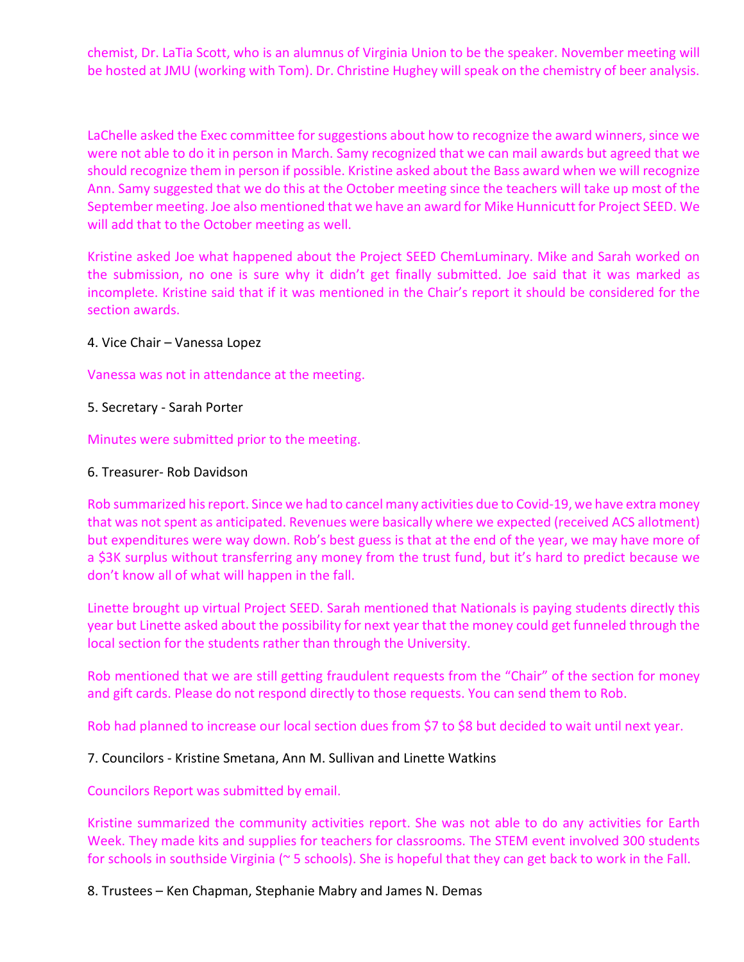chemist, Dr. LaTia Scott, who is an alumnus of Virginia Union to be the speaker. November meeting will be hosted at JMU (working with Tom). Dr. Christine Hughey will speak on the chemistry of beer analysis.

LaChelle asked the Exec committee for suggestions about how to recognize the award winners, since we were not able to do it in person in March. Samy recognized that we can mail awards but agreed that we should recognize them in person if possible. Kristine asked about the Bass award when we will recognize Ann. Samy suggested that we do this at the October meeting since the teachers will take up most of the September meeting. Joe also mentioned that we have an award for Mike Hunnicutt for Project SEED. We will add that to the October meeting as well.

Kristine asked Joe what happened about the Project SEED ChemLuminary. Mike and Sarah worked on the submission, no one is sure why it didn't get finally submitted. Joe said that it was marked as incomplete. Kristine said that if it was mentioned in the Chair's report it should be considered for the section awards.

4. Vice Chair – Vanessa Lopez

Vanessa was not in attendance at the meeting.

5. Secretary - Sarah Porter

Minutes were submitted prior to the meeting.

#### 6. Treasurer- Rob Davidson

Rob summarized his report. Since we had to cancel many activities due to Covid-19, we have extra money that was not spent as anticipated. Revenues were basically where we expected (received ACS allotment) but expenditures were way down. Rob's best guess is that at the end of the year, we may have more of a \$3K surplus without transferring any money from the trust fund, but it's hard to predict because we don't know all of what will happen in the fall.

Linette brought up virtual Project SEED. Sarah mentioned that Nationals is paying students directly this year but Linette asked about the possibility for next year that the money could get funneled through the local section for the students rather than through the University.

Rob mentioned that we are still getting fraudulent requests from the "Chair" of the section for money and gift cards. Please do not respond directly to those requests. You can send them to Rob.

Rob had planned to increase our local section dues from \$7 to \$8 but decided to wait until next year.

7. Councilors - Kristine Smetana, Ann M. Sullivan and Linette Watkins

Councilors Report was submitted by email.

Kristine summarized the community activities report. She was not able to do any activities for Earth Week. They made kits and supplies for teachers for classrooms. The STEM event involved 300 students for schools in southside Virginia (~ 5 schools). She is hopeful that they can get back to work in the Fall.

8. Trustees – Ken Chapman, Stephanie Mabry and James N. Demas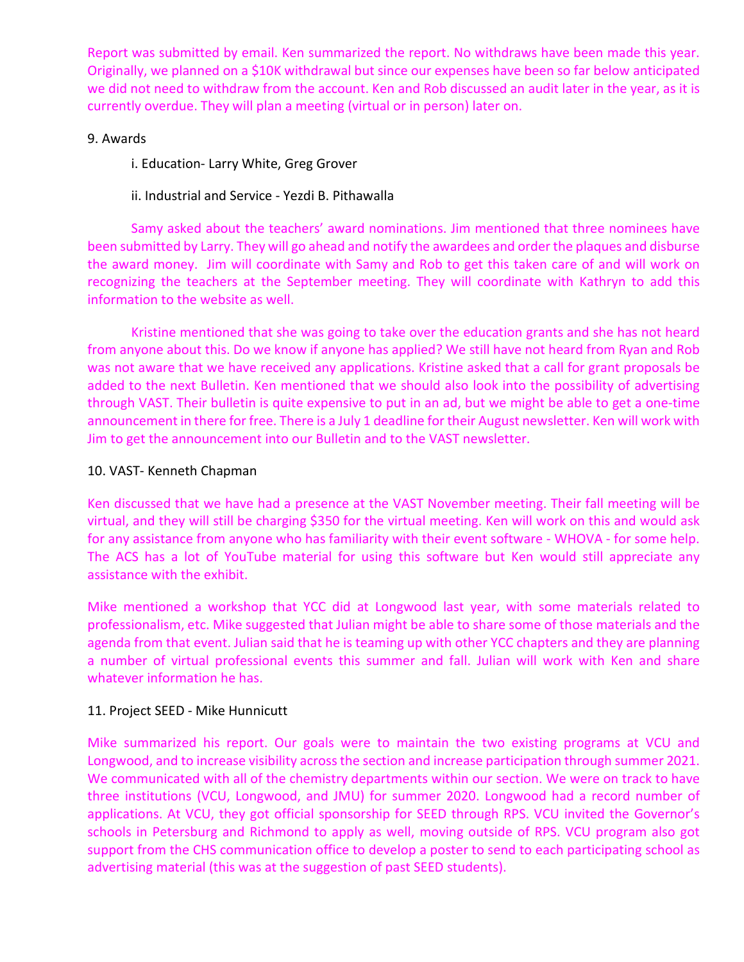Report was submitted by email. Ken summarized the report. No withdraws have been made this year. Originally, we planned on a \$10K withdrawal but since our expenses have been so far below anticipated we did not need to withdraw from the account. Ken and Rob discussed an audit later in the year, as it is currently overdue. They will plan a meeting (virtual or in person) later on.

## 9. Awards

i. Education- Larry White, Greg Grover

ii. Industrial and Service - Yezdi B. Pithawalla

Samy asked about the teachers' award nominations. Jim mentioned that three nominees have been submitted by Larry. They will go ahead and notify the awardees and order the plaques and disburse the award money. Jim will coordinate with Samy and Rob to get this taken care of and will work on recognizing the teachers at the September meeting. They will coordinate with Kathryn to add this information to the website as well.

Kristine mentioned that she was going to take over the education grants and she has not heard from anyone about this. Do we know if anyone has applied? We still have not heard from Ryan and Rob was not aware that we have received any applications. Kristine asked that a call for grant proposals be added to the next Bulletin. Ken mentioned that we should also look into the possibility of advertising through VAST. Their bulletin is quite expensive to put in an ad, but we might be able to get a one-time announcement in there for free. There is a July 1 deadline for their August newsletter. Ken will work with Jim to get the announcement into our Bulletin and to the VAST newsletter.

## 10. VAST- Kenneth Chapman

Ken discussed that we have had a presence at the VAST November meeting. Their fall meeting will be virtual, and they will still be charging \$350 for the virtual meeting. Ken will work on this and would ask for any assistance from anyone who has familiarity with their event software - WHOVA - for some help. The ACS has a lot of YouTube material for using this software but Ken would still appreciate any assistance with the exhibit.

Mike mentioned a workshop that YCC did at Longwood last year, with some materials related to professionalism, etc. Mike suggested that Julian might be able to share some of those materials and the agenda from that event. Julian said that he is teaming up with other YCC chapters and they are planning a number of virtual professional events this summer and fall. Julian will work with Ken and share whatever information he has.

## 11. Project SEED - Mike Hunnicutt

Mike summarized his report. Our goals were to maintain the two existing programs at VCU and Longwood, and to increase visibility across the section and increase participation through summer 2021. We communicated with all of the chemistry departments within our section. We were on track to have three institutions (VCU, Longwood, and JMU) for summer 2020. Longwood had a record number of applications. At VCU, they got official sponsorship for SEED through RPS. VCU invited the Governor's schools in Petersburg and Richmond to apply as well, moving outside of RPS. VCU program also got support from the CHS communication office to develop a poster to send to each participating school as advertising material (this was at the suggestion of past SEED students).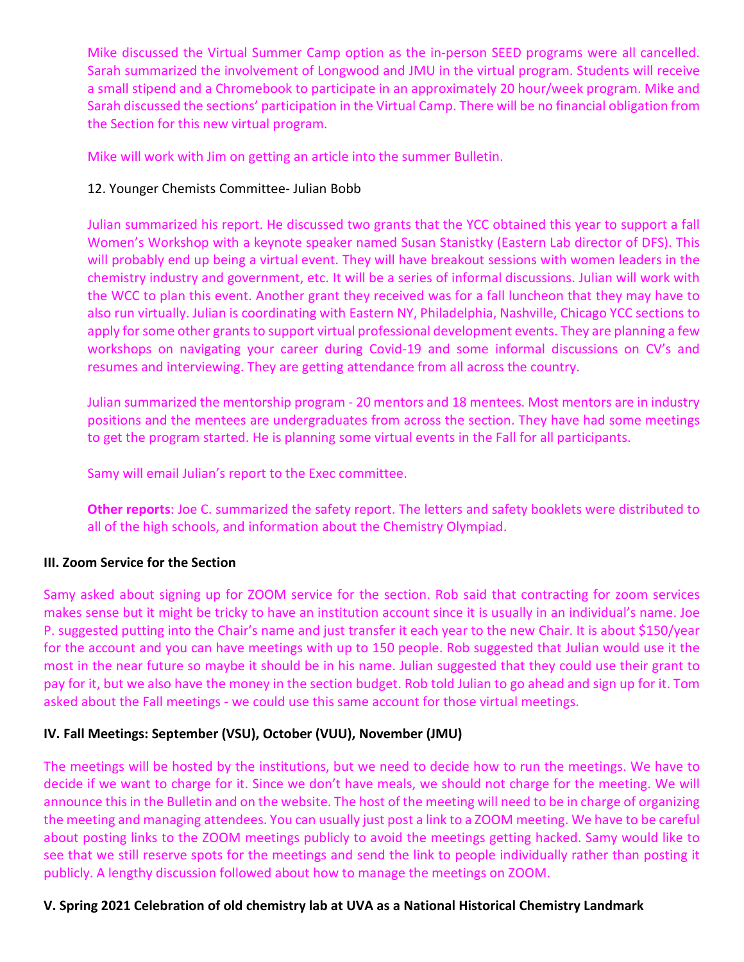Mike discussed the Virtual Summer Camp option as the in-person SEED programs were all cancelled. Sarah summarized the involvement of Longwood and JMU in the virtual program. Students will receive a small stipend and a Chromebook to participate in an approximately 20 hour/week program. Mike and Sarah discussed the sections' participation in the Virtual Camp. There will be no financial obligation from the Section for this new virtual program.

Mike will work with Jim on getting an article into the summer Bulletin.

## 12. Younger Chemists Committee- Julian Bobb

Julian summarized his report. He discussed two grants that the YCC obtained this year to support a fall Women's Workshop with a keynote speaker named Susan Stanistky (Eastern Lab director of DFS). This will probably end up being a virtual event. They will have breakout sessions with women leaders in the chemistry industry and government, etc. It will be a series of informal discussions. Julian will work with the WCC to plan this event. Another grant they received was for a fall luncheon that they may have to also run virtually. Julian is coordinating with Eastern NY, Philadelphia, Nashville, Chicago YCC sections to apply for some other grants to support virtual professional development events. They are planning a few workshops on navigating your career during Covid-19 and some informal discussions on CV's and resumes and interviewing. They are getting attendance from all across the country.

Julian summarized the mentorship program - 20 mentors and 18 mentees. Most mentors are in industry positions and the mentees are undergraduates from across the section. They have had some meetings to get the program started. He is planning some virtual events in the Fall for all participants.

Samy will email Julian's report to the Exec committee.

**Other reports**: Joe C. summarized the safety report. The letters and safety booklets were distributed to all of the high schools, and information about the Chemistry Olympiad.

## **III. Zoom Service for the Section**

Samy asked about signing up for ZOOM service for the section. Rob said that contracting for zoom services makes sense but it might be tricky to have an institution account since it is usually in an individual's name. Joe P. suggested putting into the Chair's name and just transfer it each year to the new Chair. It is about \$150/year for the account and you can have meetings with up to 150 people. Rob suggested that Julian would use it the most in the near future so maybe it should be in his name. Julian suggested that they could use their grant to pay for it, but we also have the money in the section budget. Rob told Julian to go ahead and sign up for it. Tom asked about the Fall meetings - we could use this same account for those virtual meetings.

## **IV. Fall Meetings: September (VSU), October (VUU), November (JMU)**

The meetings will be hosted by the institutions, but we need to decide how to run the meetings. We have to decide if we want to charge for it. Since we don't have meals, we should not charge for the meeting. We will announce this in the Bulletin and on the website. The host of the meeting will need to be in charge of organizing the meeting and managing attendees. You can usually just post a link to a ZOOM meeting. We have to be careful about posting links to the ZOOM meetings publicly to avoid the meetings getting hacked. Samy would like to see that we still reserve spots for the meetings and send the link to people individually rather than posting it publicly. A lengthy discussion followed about how to manage the meetings on ZOOM.

## **V. Spring 2021 Celebration of old chemistry lab at UVA as a National Historical Chemistry Landmark**